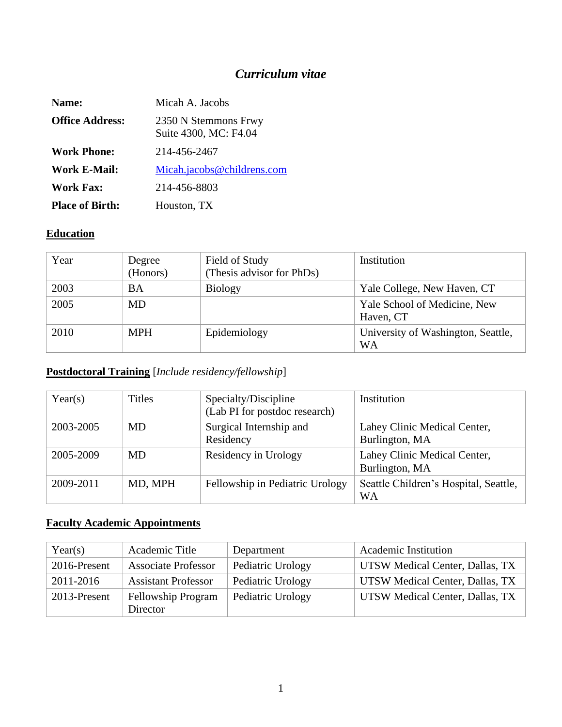# *Curriculum vitae*

| Name:                  | Micah A. Jacobs                               |
|------------------------|-----------------------------------------------|
| <b>Office Address:</b> | 2350 N Stemmons Frwy<br>Suite 4300, MC: F4.04 |
| <b>Work Phone:</b>     | 214-456-2467                                  |
| <b>Work E-Mail:</b>    | Micah.jacobs@childrens.com                    |
| <b>Work Fax:</b>       | 214-456-8803                                  |
| <b>Place of Birth:</b> | Houston, TX                                   |

### **Education**

| Year | Degree<br>(Honors) | Field of Study<br>(Thesis advisor for PhDs) | Institution                               |
|------|--------------------|---------------------------------------------|-------------------------------------------|
| 2003 | <b>BA</b>          | <b>Biology</b>                              | Yale College, New Haven, CT               |
| 2005 | MD                 |                                             | Yale School of Medicine, New<br>Haven, CT |
| 2010 | <b>MPH</b>         | Epidemiology                                | University of Washington, Seattle,<br>WA  |

## **Postdoctoral Training** [*Include residency/fellowship*]

| Year(s)   | <b>Titles</b> | Specialty/Discipline<br>(Lab PI for postdoc research) | Institution                                    |
|-----------|---------------|-------------------------------------------------------|------------------------------------------------|
| 2003-2005 | MD            | Surgical Internship and<br>Residency                  | Lahey Clinic Medical Center,<br>Burlington, MA |
| 2005-2009 | MD            | Residency in Urology                                  | Lahey Clinic Medical Center,<br>Burlington, MA |
| 2009-2011 | MD, MPH       | Fellowship in Pediatric Urology                       | Seattle Children's Hospital, Seattle,<br>WA    |

### **Faculty Academic Appointments**

| Year(s)      | Academic Title             | Department        | <b>Academic Institution</b>            |
|--------------|----------------------------|-------------------|----------------------------------------|
| 2016-Present | <b>Associate Professor</b> | Pediatric Urology | UTSW Medical Center, Dallas, TX        |
| 2011-2016    | <b>Assistant Professor</b> | Pediatric Urology | UTSW Medical Center, Dallas, TX        |
| 2013-Present | <b>Fellowship Program</b>  | Pediatric Urology | <b>UTSW Medical Center, Dallas, TX</b> |
|              | Director                   |                   |                                        |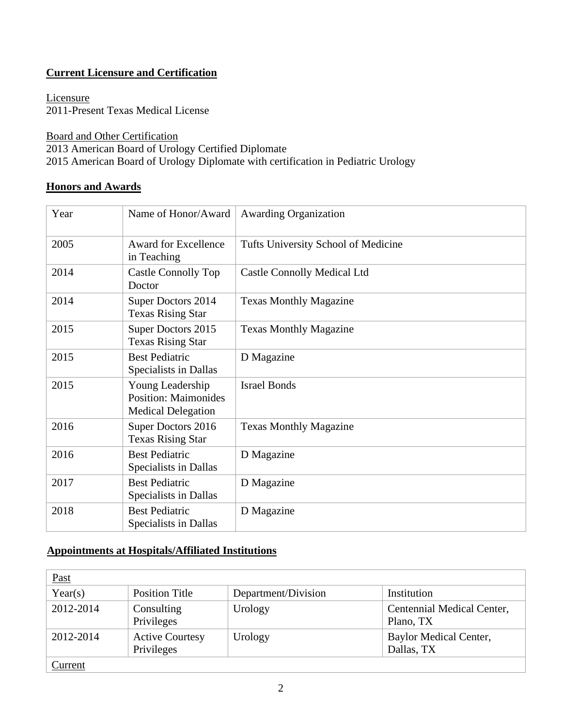### **Current Licensure and Certification**

**Licensure** 2011-Present Texas Medical License

Board and Other Certification 2013 American Board of Urology Certified Diplomate 2015 American Board of Urology Diplomate with certification in Pediatric Urology

#### **Honors and Awards**

| Year | Name of Honor/Award                                                          | <b>Awarding Organization</b>        |
|------|------------------------------------------------------------------------------|-------------------------------------|
| 2005 | <b>Award for Excellence</b><br>in Teaching                                   | Tufts University School of Medicine |
| 2014 | <b>Castle Connolly Top</b><br>Doctor                                         | <b>Castle Connolly Medical Ltd</b>  |
| 2014 | Super Doctors 2014<br><b>Texas Rising Star</b>                               | <b>Texas Monthly Magazine</b>       |
| 2015 | Super Doctors 2015<br><b>Texas Rising Star</b>                               | <b>Texas Monthly Magazine</b>       |
| 2015 | <b>Best Pediatric</b><br>Specialists in Dallas                               | D Magazine                          |
| 2015 | Young Leadership<br><b>Position: Maimonides</b><br><b>Medical Delegation</b> | <b>Israel Bonds</b>                 |
| 2016 | Super Doctors 2016<br><b>Texas Rising Star</b>                               | <b>Texas Monthly Magazine</b>       |
| 2016 | <b>Best Pediatric</b><br>Specialists in Dallas                               | D Magazine                          |
| 2017 | <b>Best Pediatric</b><br>Specialists in Dallas                               | D Magazine                          |
| 2018 | <b>Best Pediatric</b><br>Specialists in Dallas                               | D Magazine                          |

### **Appointments at Hospitals/Affiliated Institutions**

| <u>Past</u> |                                      |                     |                                         |
|-------------|--------------------------------------|---------------------|-----------------------------------------|
| Year(s)     | Position Title                       | Department/Division | Institution                             |
| 2012-2014   | Consulting<br>Privileges             | Urology             | Centennial Medical Center,<br>Plano, TX |
| 2012-2014   | <b>Active Courtesy</b><br>Privileges | Urology             | Baylor Medical Center,<br>Dallas, TX    |
| Current     |                                      |                     |                                         |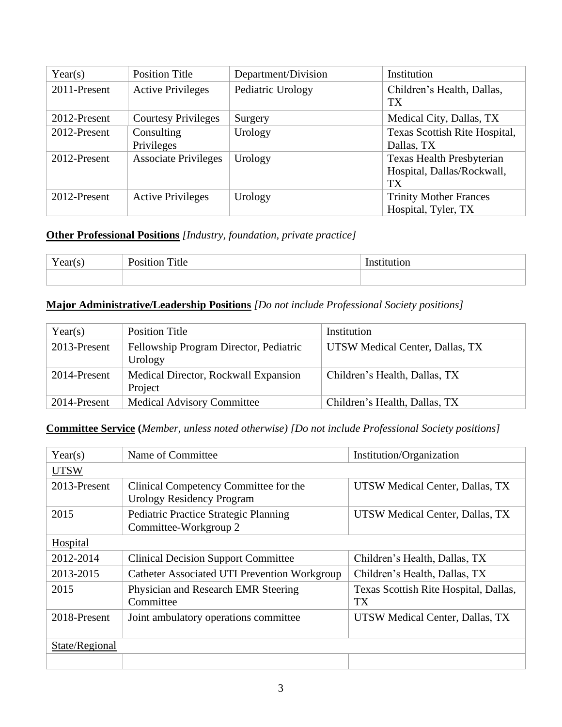| Year(s)      | <b>Position Title</b>       | Department/Division | Institution                                                                 |
|--------------|-----------------------------|---------------------|-----------------------------------------------------------------------------|
| 2011-Present | <b>Active Privileges</b>    | Pediatric Urology   | Children's Health, Dallas,<br><b>TX</b>                                     |
| 2012-Present | <b>Courtesy Privileges</b>  | Surgery             | Medical City, Dallas, TX                                                    |
| 2012-Present | Consulting<br>Privileges    | Urology             | Texas Scottish Rite Hospital,<br>Dallas, TX                                 |
| 2012-Present | <b>Associate Privileges</b> | Urology             | <b>Texas Health Presbyterian</b><br>Hospital, Dallas/Rockwall,<br><b>TX</b> |
| 2012-Present | <b>Active Privileges</b>    | Urology             | <b>Trinity Mother Frances</b><br>Hospital, Tyler, TX                        |

### **Other Professional Positions** *[Industry, foundation, private practice]*

| - -<br>ar(s) | $\mathbf{r}$<br>Title | *10 n |
|--------------|-----------------------|-------|
|              |                       |       |

# **Major Administrative/Leadership Positions** *[Do not include Professional Society positions]*

| Year(s)      | <b>Position Title</b>                             | Institution                     |
|--------------|---------------------------------------------------|---------------------------------|
| 2013-Present | Fellowship Program Director, Pediatric<br>Urology | UTSW Medical Center, Dallas, TX |
| 2014-Present | Medical Director, Rockwall Expansion<br>Project   | Children's Health, Dallas, TX   |
| 2014-Present | <b>Medical Advisory Committee</b>                 | Children's Health, Dallas, TX   |

### **Committee Service (***Member, unless noted otherwise) [Do not include Professional Society positions]*

| Year(s)         | Name of Committee                                                         | Institution/Organization                           |
|-----------------|---------------------------------------------------------------------------|----------------------------------------------------|
| <b>UTSW</b>     |                                                                           |                                                    |
| 2013-Present    | Clinical Competency Committee for the<br><b>Urology Residency Program</b> | UTSW Medical Center, Dallas, TX                    |
| 2015            | <b>Pediatric Practice Strategic Planning</b><br>Committee-Workgroup 2     | UTSW Medical Center, Dallas, TX                    |
| <b>Hospital</b> |                                                                           |                                                    |
| 2012-2014       | <b>Clinical Decision Support Committee</b>                                | Children's Health, Dallas, TX                      |
| 2013-2015       | Catheter Associated UTI Prevention Workgroup                              | Children's Health, Dallas, TX                      |
| 2015            | Physician and Research EMR Steering<br>Committee                          | Texas Scottish Rite Hospital, Dallas,<br><b>TX</b> |
| 2018-Present    | Joint ambulatory operations committee                                     | UTSW Medical Center, Dallas, TX                    |
| State/Regional  |                                                                           |                                                    |
|                 |                                                                           |                                                    |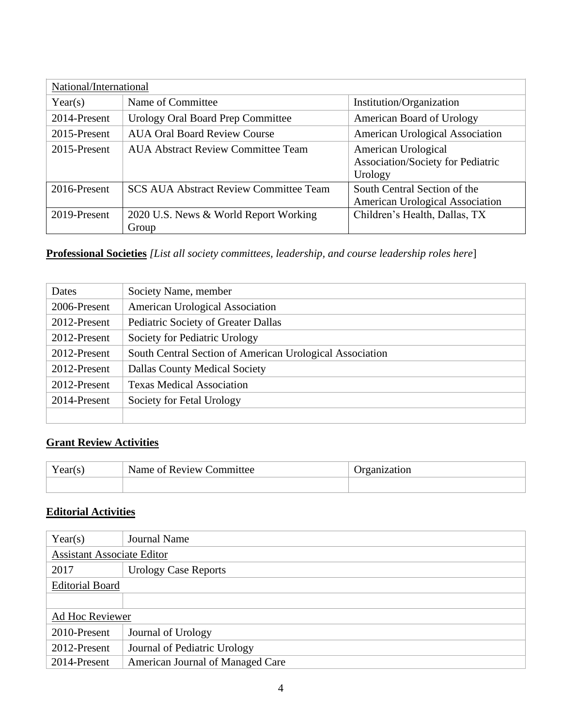| National/International |                                                |                                                                     |
|------------------------|------------------------------------------------|---------------------------------------------------------------------|
| Year(s)                | Name of Committee                              | Institution/Organization                                            |
| 2014-Present           | Urology Oral Board Prep Committee              | American Board of Urology                                           |
| 2015-Present           | <b>AUA Oral Board Review Course</b>            | <b>American Urological Association</b>                              |
| 2015-Present           | <b>AUA Abstract Review Committee Team</b>      | American Urological<br>Association/Society for Pediatric<br>Urology |
| 2016-Present           | <b>SCS AUA Abstract Review Committee Team</b>  | South Central Section of the<br>American Urological Association     |
| 2019-Present           | 2020 U.S. News & World Report Working<br>Group | Children's Health, Dallas, TX                                       |

**Professional Societies** *[List all society committees, leadership, and course leadership roles here*]

| Dates        | Society Name, member                                     |
|--------------|----------------------------------------------------------|
| 2006-Present | <b>American Urological Association</b>                   |
| 2012-Present | Pediatric Society of Greater Dallas                      |
| 2012-Present | Society for Pediatric Urology                            |
| 2012-Present | South Central Section of American Urological Association |
| 2012-Present | <b>Dallas County Medical Society</b>                     |
| 2012-Present | <b>Texas Medical Association</b>                         |
| 2014-Present | Society for Fetal Urology                                |
|              |                                                          |

# **Grant Review Activities**

| Year(s) | Name of Review Committee | Organization |
|---------|--------------------------|--------------|
|         |                          |              |

## **Editorial Activities**

| Year(s)                           | <b>Journal Name</b>              |  |
|-----------------------------------|----------------------------------|--|
| <b>Assistant Associate Editor</b> |                                  |  |
| 2017                              | <b>Urology Case Reports</b>      |  |
| <b>Editorial Board</b>            |                                  |  |
|                                   |                                  |  |
| Ad Hoc Reviewer                   |                                  |  |
| 2010-Present                      | Journal of Urology               |  |
| 2012-Present                      | Journal of Pediatric Urology     |  |
| 2014-Present                      | American Journal of Managed Care |  |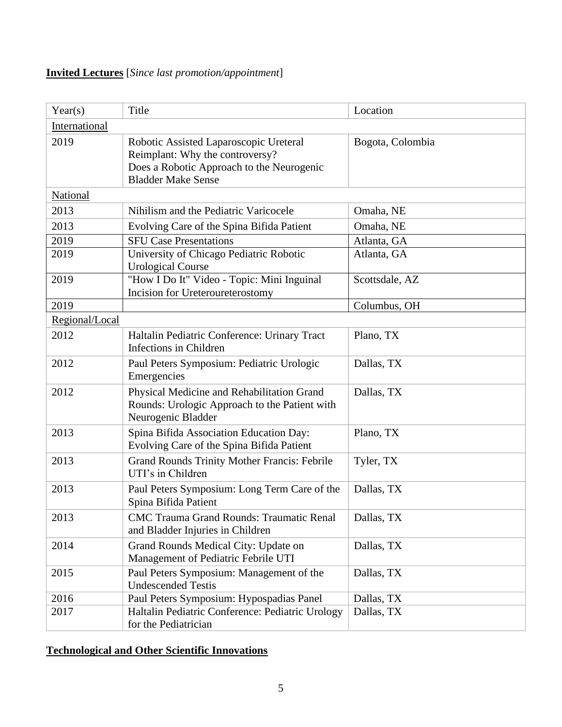# **Invited Lectures** [*Since last promotion/appointment*]

| Year(s)        | Title                                                                                                                                               | Location         |
|----------------|-----------------------------------------------------------------------------------------------------------------------------------------------------|------------------|
| International  |                                                                                                                                                     |                  |
| 2019           | Robotic Assisted Laparoscopic Ureteral<br>Reimplant: Why the controversy?<br>Does a Robotic Approach to the Neurogenic<br><b>Bladder Make Sense</b> | Bogota, Colombia |
| National       |                                                                                                                                                     |                  |
| 2013           | Nihilism and the Pediatric Varicocele                                                                                                               | Omaha, NE        |
| 2013           | Evolving Care of the Spina Bifida Patient                                                                                                           | Omaha, NE        |
| 2019           | <b>SFU Case Presentations</b>                                                                                                                       | Atlanta, GA      |
| 2019           | University of Chicago Pediatric Robotic<br><b>Urological Course</b>                                                                                 | Atlanta, GA      |
| 2019           | "How I Do It" Video - Topic: Mini Inguinal<br>Incision for Ureteroureterostomy                                                                      | Scottsdale, AZ   |
| 2019           |                                                                                                                                                     | Columbus, OH     |
| Regional/Local |                                                                                                                                                     |                  |
| 2012           | Haltalin Pediatric Conference: Urinary Tract<br>Infections in Children                                                                              | Plano, TX        |
| 2012           | Paul Peters Symposium: Pediatric Urologic<br>Emergencies                                                                                            | Dallas, TX       |
| 2012           | Physical Medicine and Rehabilitation Grand<br>Rounds: Urologic Approach to the Patient with<br>Neurogenic Bladder                                   | Dallas, TX       |
| 2013           | Spina Bifida Association Education Day:<br>Evolving Care of the Spina Bifida Patient                                                                | Plano, TX        |
| 2013           | Grand Rounds Trinity Mother Francis: Febrile<br>UTI's in Children                                                                                   | Tyler, TX        |
| 2013           | Paul Peters Symposium: Long Term Care of the<br>Spina Bifida Patient                                                                                | Dallas, TX       |
| 2013           | <b>CMC Trauma Grand Rounds: Traumatic Renal</b><br>and Bladder Injuries in Children                                                                 | Dallas, TX       |
| 2014           | Grand Rounds Medical City: Update on<br>Management of Pediatric Febrile UTI                                                                         | Dallas, TX       |
| 2015           | Paul Peters Symposium: Management of the<br><b>Undescended Testis</b>                                                                               | Dallas, TX       |
| 2016           | Paul Peters Symposium: Hypospadias Panel                                                                                                            | Dallas, TX       |
| 2017           | Haltalin Pediatric Conference: Pediatric Urology<br>for the Pediatrician                                                                            | Dallas, TX       |

## **Technological and Other Scientific Innovations**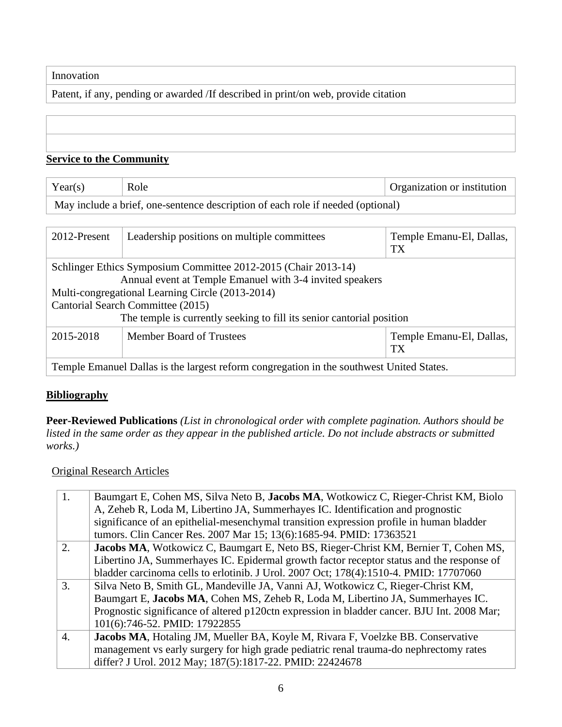Innovation

Patent, if any, pending or awarded /If described in print/on web, provide citation

#### **Service to the Community**

| Year(s)                                                                                                                                                                                                                                                                                      | Role                                        | Organization or institution           |
|----------------------------------------------------------------------------------------------------------------------------------------------------------------------------------------------------------------------------------------------------------------------------------------------|---------------------------------------------|---------------------------------------|
| May include a brief, one-sentence description of each role if needed (optional)                                                                                                                                                                                                              |                                             |                                       |
|                                                                                                                                                                                                                                                                                              |                                             |                                       |
| 2012-Present                                                                                                                                                                                                                                                                                 | Leadership positions on multiple committees | Temple Emanu-El, Dallas,<br><b>TX</b> |
| Schlinger Ethics Symposium Committee 2012-2015 (Chair 2013-14)<br>Annual event at Temple Emanuel with 3-4 invited speakers<br>Multi-congregational Learning Circle (2013-2014)<br>Cantorial Search Committee (2015)<br>The temple is currently seeking to fill its senior cantorial position |                                             |                                       |
| 2015-2018                                                                                                                                                                                                                                                                                    | Member Board of Trustees                    | Temple Emanu-El, Dallas,<br><b>TX</b> |
| Temple Emanuel Dallas is the largest reform congregation in the southwest United States.                                                                                                                                                                                                     |                                             |                                       |

### **Bibliography**

**Peer-Reviewed Publications** *(List in chronological order with complete pagination. Authors should be listed in the same order as they appear in the published article. Do not include abstracts or submitted works.)*

### Original Research Articles

| 1. | Baumgart E, Cohen MS, Silva Neto B, Jacobs MA, Wotkowicz C, Rieger-Christ KM, Biolo         |
|----|---------------------------------------------------------------------------------------------|
|    | A, Zeheb R, Loda M, Libertino JA, Summerhayes IC. Identification and prognostic             |
|    | significance of an epithelial-mesenchymal transition expression profile in human bladder    |
|    | tumors. Clin Cancer Res. 2007 Mar 15; 13(6):1685-94. PMID: 17363521                         |
| 2. | <b>Jacobs MA, Wotkowicz C, Baumgart E, Neto BS, Rieger-Christ KM, Bernier T, Cohen MS,</b>  |
|    | Libertino JA, Summerhayes IC. Epidermal growth factor receptor status and the response of   |
|    | bladder carcinoma cells to erlotinib. J Urol. 2007 Oct; 178(4):1510-4. PMID: 17707060       |
| 3. | Silva Neto B, Smith GL, Mandeville JA, Vanni AJ, Wotkowicz C, Rieger-Christ KM,             |
|    | Baumgart E, Jacobs MA, Cohen MS, Zeheb R, Loda M, Libertino JA, Summerhayes IC.             |
|    | Prognostic significance of altered p120ctn expression in bladder cancer. BJU Int. 2008 Mar; |
|    | 101(6):746-52. PMID: 17922855                                                               |
| 4. | Jacobs MA, Hotaling JM, Mueller BA, Koyle M, Rivara F, Voelzke BB. Conservative             |
|    | management vs early surgery for high grade pediatric renal trauma-do nephrectomy rates      |
|    | differ? J Urol. 2012 May; 187(5):1817-22. PMID: 22424678                                    |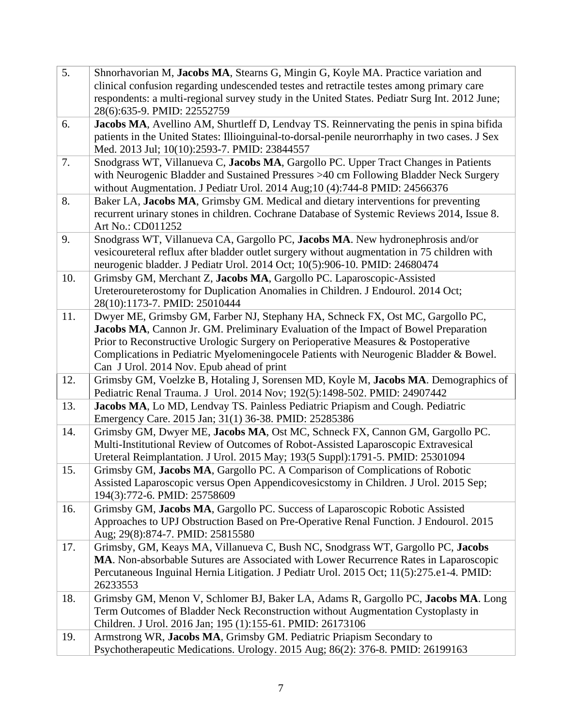| 5.  | Shnorhavorian M, Jacobs MA, Stearns G, Mingin G, Koyle MA. Practice variation and                                                                                     |
|-----|-----------------------------------------------------------------------------------------------------------------------------------------------------------------------|
|     | clinical confusion regarding undescended testes and retractile testes among primary care                                                                              |
|     | respondents: a multi-regional survey study in the United States. Pediatr Surg Int. 2012 June;                                                                         |
|     | 28(6):635-9. PMID: 22552759                                                                                                                                           |
| 6.  | Jacobs MA, Avellino AM, Shurtleff D, Lendvay TS. Reinnervating the penis in spina bifida                                                                              |
|     | patients in the United States: Illioinguinal-to-dorsal-penile neurorrhaphy in two cases. J Sex                                                                        |
|     | Med. 2013 Jul; 10(10):2593-7. PMID: 23844557                                                                                                                          |
| 7.  | Snodgrass WT, Villanueva C, Jacobs MA, Gargollo PC. Upper Tract Changes in Patients                                                                                   |
|     | with Neurogenic Bladder and Sustained Pressures >40 cm Following Bladder Neck Surgery                                                                                 |
|     | without Augmentation. J Pediatr Urol. 2014 Aug;10 (4):744-8 PMID: 24566376                                                                                            |
| 8.  | Baker LA, Jacobs MA, Grimsby GM. Medical and dietary interventions for preventing                                                                                     |
|     | recurrent urinary stones in children. Cochrane Database of Systemic Reviews 2014, Issue 8.                                                                            |
|     | Art No.: CD011252                                                                                                                                                     |
| 9.  | Snodgrass WT, Villanueva CA, Gargollo PC, Jacobs MA. New hydronephrosis and/or                                                                                        |
|     | vesicoureteral reflux after bladder outlet surgery without augmentation in 75 children with                                                                           |
|     | neurogenic bladder. J Pediatr Urol. 2014 Oct; 10(5):906-10. PMID: 24680474                                                                                            |
| 10. | Grimsby GM, Merchant Z, Jacobs MA, Gargollo PC. Laparoscopic-Assisted                                                                                                 |
|     | Ureteroureterostomy for Duplication Anomalies in Children. J Endourol. 2014 Oct;                                                                                      |
|     | 28(10):1173-7. PMID: 25010444                                                                                                                                         |
| 11. | Dwyer ME, Grimsby GM, Farber NJ, Stephany HA, Schneck FX, Ost MC, Gargollo PC,<br>Jacobs MA, Cannon Jr. GM. Preliminary Evaluation of the Impact of Bowel Preparation |
|     | Prior to Reconstructive Urologic Surgery on Perioperative Measures & Postoperative                                                                                    |
|     | Complications in Pediatric Myelomeningocele Patients with Neurogenic Bladder & Bowel.                                                                                 |
|     | Can J Urol. 2014 Nov. Epub ahead of print                                                                                                                             |
| 12. | Grimsby GM, Voelzke B, Hotaling J, Sorensen MD, Koyle M, Jacobs MA. Demographics of                                                                                   |
|     | Pediatric Renal Trauma. J Urol. 2014 Nov; 192(5):1498-502. PMID: 24907442                                                                                             |
| 13. | Jacobs MA, Lo MD, Lendvay TS. Painless Pediatric Priapism and Cough. Pediatric                                                                                        |
|     | Emergency Care. 2015 Jan; 31(1) 36-38. PMID: 25285386                                                                                                                 |
| 14. | Grimsby GM, Dwyer ME, Jacobs MA, Ost MC, Schneck FX, Cannon GM, Gargollo PC.                                                                                          |
|     | Multi-Institutional Review of Outcomes of Robot-Assisted Laparoscopic Extravesical                                                                                    |
|     | Ureteral Reimplantation. J Urol. 2015 May; 193(5 Suppl):1791-5. PMID: 25301094                                                                                        |
| 15. | Grimsby GM, Jacobs MA, Gargollo PC. A Comparison of Complications of Robotic                                                                                          |
|     | Assisted Laparoscopic versus Open Appendicovesicstomy in Children. J Urol. 2015 Sep;                                                                                  |
|     | 194(3):772-6. PMID: 25758609                                                                                                                                          |
| 16. | Grimsby GM, Jacobs MA, Gargollo PC. Success of Laparoscopic Robotic Assisted                                                                                          |
|     | Approaches to UPJ Obstruction Based on Pre-Operative Renal Function. J Endourol. 2015                                                                                 |
|     | Aug; 29(8):874-7. PMID: 25815580                                                                                                                                      |
| 17. | Grimsby, GM, Keays MA, Villanueva C, Bush NC, Snodgrass WT, Gargollo PC, Jacobs                                                                                       |
|     | MA. Non-absorbable Sutures are Associated with Lower Recurrence Rates in Laparoscopic                                                                                 |
|     | Percutaneous Inguinal Hernia Litigation. J Pediatr Urol. 2015 Oct; 11(5):275.e1-4. PMID:                                                                              |
|     | 26233553                                                                                                                                                              |
| 18. | Grimsby GM, Menon V, Schlomer BJ, Baker LA, Adams R, Gargollo PC, Jacobs MA. Long                                                                                     |
|     | Term Outcomes of Bladder Neck Reconstruction without Augmentation Cystoplasty in<br>Children. J Urol. 2016 Jan; 195 (1):155-61. PMID: 26173106                        |
| 19. | Armstrong WR, Jacobs MA, Grimsby GM. Pediatric Priapism Secondary to                                                                                                  |
|     | Psychotherapeutic Medications. Urology. 2015 Aug; 86(2): 376-8. PMID: 26199163                                                                                        |
|     |                                                                                                                                                                       |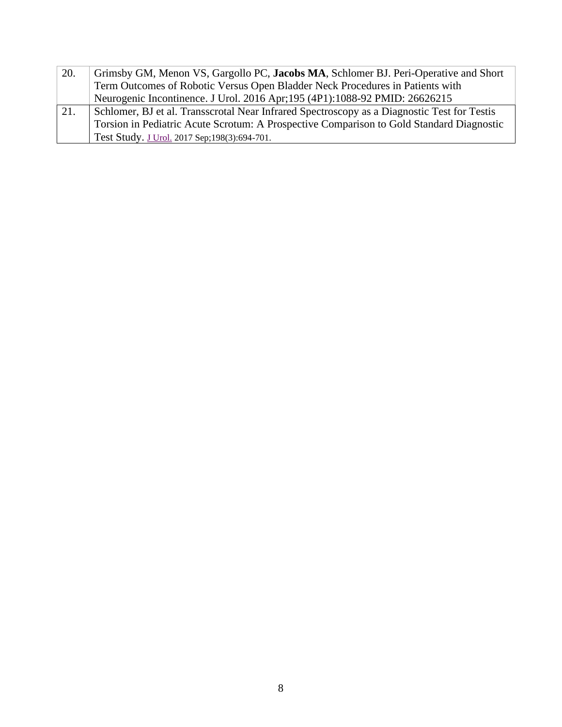| 20. | Grimsby GM, Menon VS, Gargollo PC, Jacobs MA, Schlomer BJ. Peri-Operative and Short         |
|-----|---------------------------------------------------------------------------------------------|
|     | Term Outcomes of Robotic Versus Open Bladder Neck Procedures in Patients with               |
|     | Neurogenic Incontinence. J Urol. 2016 Apr; 195 (4P1): 1088-92 PMID: 26626215                |
| 21. | Schlomer, BJ et al. Transscrotal Near Infrared Spectroscopy as a Diagnostic Test for Testis |
|     | Torsion in Pediatric Acute Scrotum: A Prospective Comparison to Gold Standard Diagnostic    |
|     | Test Study. J Urol. 2017 Sep; 198(3): 694-701.                                              |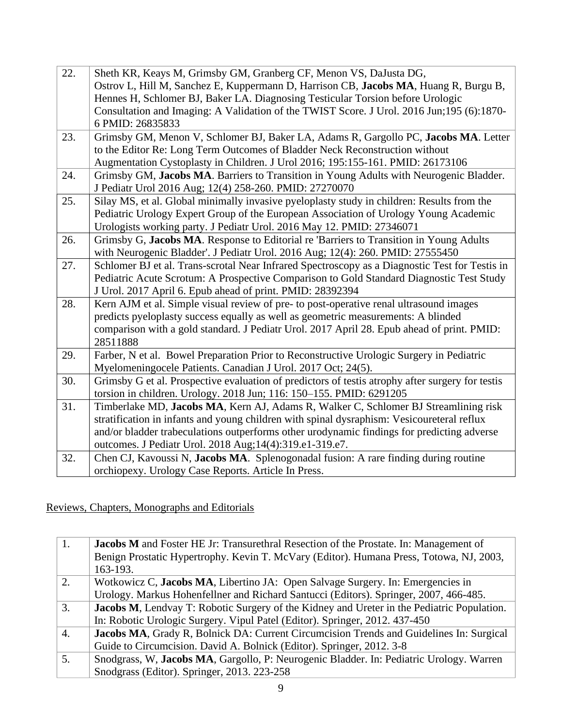| 22. | Sheth KR, Keays M, Grimsby GM, Granberg CF, Menon VS, DaJusta DG,<br>Ostrov L, Hill M, Sanchez E, Kuppermann D, Harrison CB, Jacobs MA, Huang R, Burgu B,<br>Hennes H, Schlomer BJ, Baker LA. Diagnosing Testicular Torsion before Urologic<br>Consultation and Imaging: A Validation of the TWIST Score. J Urol. 2016 Jun;195 (6):1870-<br>6 PMID: 26835833 |
|-----|--------------------------------------------------------------------------------------------------------------------------------------------------------------------------------------------------------------------------------------------------------------------------------------------------------------------------------------------------------------|
| 23. | Grimsby GM, Menon V, Schlomer BJ, Baker LA, Adams R, Gargollo PC, Jacobs MA. Letter<br>to the Editor Re: Long Term Outcomes of Bladder Neck Reconstruction without<br>Augmentation Cystoplasty in Children. J Urol 2016; 195:155-161. PMID: 26173106                                                                                                         |
| 24. | Grimsby GM, Jacobs MA. Barriers to Transition in Young Adults with Neurogenic Bladder.<br>J Pediatr Urol 2016 Aug; 12(4) 258-260. PMID: 27270070                                                                                                                                                                                                             |
| 25. | Silay MS, et al. Global minimally invasive pyeloplasty study in children: Results from the<br>Pediatric Urology Expert Group of the European Association of Urology Young Academic<br>Urologists working party. J Pediatr Urol. 2016 May 12. PMID: 27346071                                                                                                  |
| 26. | Grimsby G, Jacobs MA. Response to Editorial re 'Barriers to Transition in Young Adults<br>with Neurogenic Bladder'. J Pediatr Urol. 2016 Aug; 12(4): 260. PMID: 27555450                                                                                                                                                                                     |
| 27. | Schlomer BJ et al. Trans-scrotal Near Infrared Spectroscopy as a Diagnostic Test for Testis in<br>Pediatric Acute Scrotum: A Prospective Comparison to Gold Standard Diagnostic Test Study<br>J Urol. 2017 April 6. Epub ahead of print. PMID: 28392394                                                                                                      |
| 28. | Kern AJM et al. Simple visual review of pre- to post-operative renal ultrasound images<br>predicts pyeloplasty success equally as well as geometric measurements: A blinded<br>comparison with a gold standard. J Pediatr Urol. 2017 April 28. Epub ahead of print. PMID:<br>28511888                                                                        |
| 29. | Farber, N et al. Bowel Preparation Prior to Reconstructive Urologic Surgery in Pediatric<br>Myelomeningocele Patients. Canadian J Urol. 2017 Oct; 24(5).                                                                                                                                                                                                     |
| 30. | Grimsby G et al. Prospective evaluation of predictors of testis atrophy after surgery for testis<br>torsion in children. Urology. 2018 Jun; 116: 150-155. PMID: 6291205                                                                                                                                                                                      |
| 31. | Timberlake MD, Jacobs MA, Kern AJ, Adams R, Walker C, Schlomer BJ Streamlining risk<br>stratification in infants and young children with spinal dysraphism: Vesicoureteral reflux<br>and/or bladder trabeculations outperforms other urodynamic findings for predicting adverse<br>outcomes. J Pediatr Urol. 2018 Aug;14(4):319.e1-319.e7.                   |
| 32. | Chen CJ, Kavoussi N, Jacobs MA. Splenogonadal fusion: A rare finding during routine<br>orchiopexy. Urology Case Reports. Article In Press.                                                                                                                                                                                                                   |

Reviews, Chapters, Monographs and Editorials

| 1.               | <b>Jacobs M</b> and Foster HE Jr: Transurethral Resection of the Prostate. In: Management of |
|------------------|----------------------------------------------------------------------------------------------|
|                  | Benign Prostatic Hypertrophy. Kevin T. McVary (Editor). Humana Press, Totowa, NJ, 2003,      |
|                  | 163-193.                                                                                     |
| 2.               | Wotkowicz C, Jacobs MA, Libertino JA: Open Salvage Surgery. In: Emergencies in               |
|                  | Urology. Markus Hohenfellner and Richard Santucci (Editors). Springer, 2007, 466-485.        |
| 3.               | Jacobs M, Lendvay T: Robotic Surgery of the Kidney and Ureter in the Pediatric Population.   |
|                  | In: Robotic Urologic Surgery. Vipul Patel (Editor). Springer, 2012. 437-450                  |
| $\overline{4}$ . | Jacobs MA, Grady R, Bolnick DA: Current Circumcision Trends and Guidelines In: Surgical      |
|                  | Guide to Circumcision. David A. Bolnick (Editor). Springer, 2012. 3-8                        |
| 5.               | Snodgrass, W. Jacobs MA, Gargollo, P: Neurogenic Bladder. In: Pediatric Urology. Warren      |
|                  | Snodgrass (Editor). Springer, 2013. 223-258                                                  |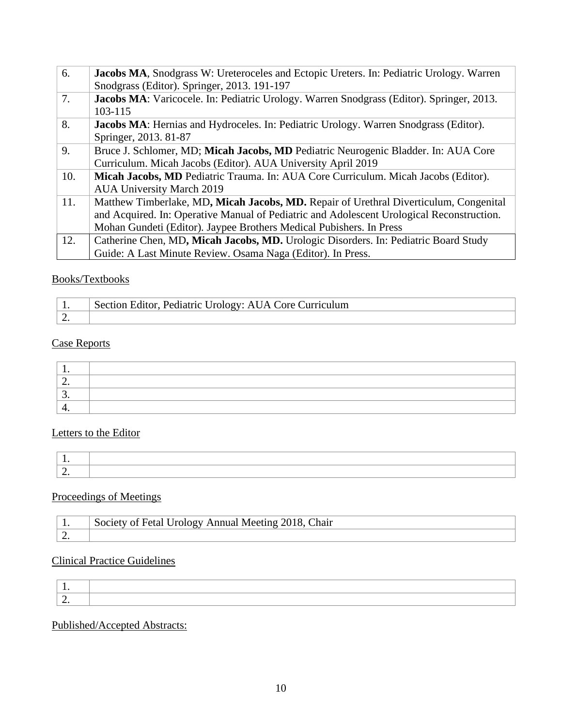| 6.  | Jacobs MA, Snodgrass W: Ureteroceles and Ectopic Ureters. In: Pediatric Urology. Warren<br>Snodgrass (Editor). Springer, 2013. 191-197 |
|-----|----------------------------------------------------------------------------------------------------------------------------------------|
|     |                                                                                                                                        |
| 7.  | Jacobs MA: Varicocele. In: Pediatric Urology. Warren Snodgrass (Editor). Springer, 2013.                                               |
|     | $103 - 115$                                                                                                                            |
| 8.  | Jacobs MA: Hernias and Hydroceles. In: Pediatric Urology. Warren Snodgrass (Editor).                                                   |
|     | Springer, 2013. 81-87                                                                                                                  |
| 9.  | Bruce J. Schlomer, MD; Micah Jacobs, MD Pediatric Neurogenic Bladder. In: AUA Core                                                     |
|     | Curriculum. Micah Jacobs (Editor). AUA University April 2019                                                                           |
| 10. | Micah Jacobs, MD Pediatric Trauma. In: AUA Core Curriculum. Micah Jacobs (Editor).                                                     |
|     | <b>AUA University March 2019</b>                                                                                                       |
| 11. | Matthew Timberlake, MD, Micah Jacobs, MD. Repair of Urethral Diverticulum, Congenital                                                  |
|     | and Acquired. In: Operative Manual of Pediatric and Adolescent Urological Reconstruction.                                              |
|     | Mohan Gundeti (Editor). Jaypee Brothers Medical Pubishers. In Press                                                                    |
| 12. | Catherine Chen, MD, Micah Jacobs, MD. Urologic Disorders. In: Pediatric Board Study                                                    |
|     | Guide: A Last Minute Review. Osama Naga (Editor). In Press.                                                                            |

#### Books/Textbooks

| Section Editor, Pediatric Urology: AUA Core Curriculum |
|--------------------------------------------------------|
|                                                        |

### Case Reports

| -   |  |
|-----|--|
|     |  |
| . . |  |

### Letters to the Editor

| $\sim$ |  |
|--------|--|

# Proceedings of Meetings

| . .      | Society of Fetal Urology Annual Meeting 2018, Chair |
|----------|-----------------------------------------------------|
| <u>.</u> |                                                     |

### Clinical Practice Guidelines

## Published/Accepted Abstracts: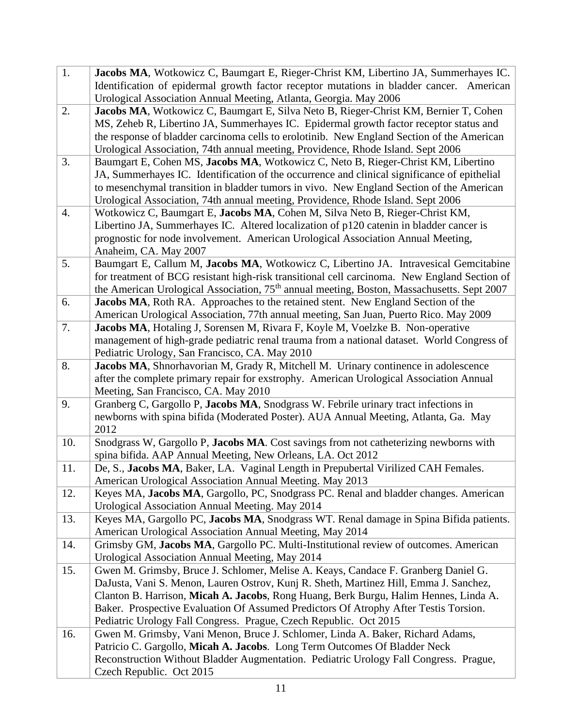| 1.  | Jacobs MA, Wotkowicz C, Baumgart E, Rieger-Christ KM, Libertino JA, Summerhayes IC.                                                                       |
|-----|-----------------------------------------------------------------------------------------------------------------------------------------------------------|
|     | Identification of epidermal growth factor receptor mutations in bladder cancer. American                                                                  |
|     | Urological Association Annual Meeting, Atlanta, Georgia. May 2006                                                                                         |
| 2.  | Jacobs MA, Wotkowicz C, Baumgart E, Silva Neto B, Rieger-Christ KM, Bernier T, Cohen                                                                      |
|     | MS, Zeheb R, Libertino JA, Summerhayes IC. Epidermal growth factor receptor status and                                                                    |
|     | the response of bladder carcinoma cells to erolotinib. New England Section of the American                                                                |
|     | Urological Association, 74th annual meeting, Providence, Rhode Island. Sept 2006                                                                          |
| 3.  | Baumgart E, Cohen MS, Jacobs MA, Wotkowicz C, Neto B, Rieger-Christ KM, Libertino                                                                         |
|     | JA, Summerhayes IC. Identification of the occurrence and clinical significance of epithelial                                                              |
|     | to mesenchymal transition in bladder tumors in vivo. New England Section of the American                                                                  |
|     | Urological Association, 74th annual meeting, Providence, Rhode Island. Sept 2006                                                                          |
| 4.  | Wotkowicz C, Baumgart E, Jacobs MA, Cohen M, Silva Neto B, Rieger-Christ KM,                                                                              |
|     | Libertino JA, Summerhayes IC. Altered localization of p120 catenin in bladder cancer is                                                                   |
|     | prognostic for node involvement. American Urological Association Annual Meeting,                                                                          |
|     | Anaheim, CA. May 2007                                                                                                                                     |
| 5.  | Baumgart E, Callum M, Jacobs MA, Wotkowicz C, Libertino JA. Intravesical Gemcitabine                                                                      |
|     | for treatment of BCG resistant high-risk transitional cell carcinoma. New England Section of                                                              |
|     | the American Urological Association, 75 <sup>th</sup> annual meeting, Boston, Massachusetts. Sept 2007                                                    |
| 6.  | <b>Jacobs MA, Roth RA.</b> Approaches to the retained stent. New England Section of the                                                                   |
|     | American Urological Association, 77th annual meeting, San Juan, Puerto Rico. May 2009                                                                     |
| 7.  | Jacobs MA, Hotaling J, Sorensen M, Rivara F, Koyle M, Voelzke B. Non-operative                                                                            |
|     | management of high-grade pediatric renal trauma from a national dataset. World Congress of                                                                |
|     | Pediatric Urology, San Francisco, CA. May 2010                                                                                                            |
| 8.  | Jacobs MA, Shnorhavorian M, Grady R, Mitchell M. Urinary continence in adolescence                                                                        |
|     | after the complete primary repair for exstrophy. American Urological Association Annual                                                                   |
|     | Meeting, San Francisco, CA. May 2010                                                                                                                      |
| 9.  | Granberg C, Gargollo P, Jacobs MA, Snodgrass W. Febrile urinary tract infections in                                                                       |
|     | newborns with spina bifida (Moderated Poster). AUA Annual Meeting, Atlanta, Ga. May                                                                       |
|     | 2012                                                                                                                                                      |
| 10. | Snodgrass W, Gargollo P, Jacobs MA. Cost savings from not catheterizing newborns with                                                                     |
|     | spina bifida. AAP Annual Meeting, New Orleans, LA. Oct 2012                                                                                               |
| 11. | De, S., Jacobs MA, Baker, LA. Vaginal Length in Prepubertal Virilized CAH Females.                                                                        |
|     | American Urological Association Annual Meeting. May 2013                                                                                                  |
| 12. | Keyes MA, Jacobs MA, Gargollo, PC, Snodgrass PC. Renal and bladder changes. American                                                                      |
|     | Urological Association Annual Meeting. May 2014                                                                                                           |
| 13. | Keyes MA, Gargollo PC, Jacobs MA, Snodgrass WT. Renal damage in Spina Bifida patients.                                                                    |
|     | American Urological Association Annual Meeting, May 2014                                                                                                  |
| 14. | Grimsby GM, Jacobs MA, Gargollo PC. Multi-Institutional review of outcomes. American                                                                      |
|     | Urological Association Annual Meeting, May 2014                                                                                                           |
| 15. | Gwen M. Grimsby, Bruce J. Schlomer, Melise A. Keays, Candace F. Granberg Daniel G.                                                                        |
|     | DaJusta, Vani S. Menon, Lauren Ostrov, Kunj R. Sheth, Martinez Hill, Emma J. Sanchez,                                                                     |
|     | Clanton B. Harrison, Micah A. Jacobs, Rong Huang, Berk Burgu, Halim Hennes, Linda A.                                                                      |
|     | Baker. Prospective Evaluation Of Assumed Predictors Of Atrophy After Testis Torsion.<br>Pediatric Urology Fall Congress. Prague, Czech Republic. Oct 2015 |
| 16. | Gwen M. Grimsby, Vani Menon, Bruce J. Schlomer, Linda A. Baker, Richard Adams,                                                                            |
|     | Patricio C. Gargollo, Micah A. Jacobs. Long Term Outcomes Of Bladder Neck                                                                                 |
|     | Reconstruction Without Bladder Augmentation. Pediatric Urology Fall Congress. Prague,                                                                     |
|     | Czech Republic. Oct 2015                                                                                                                                  |
|     |                                                                                                                                                           |